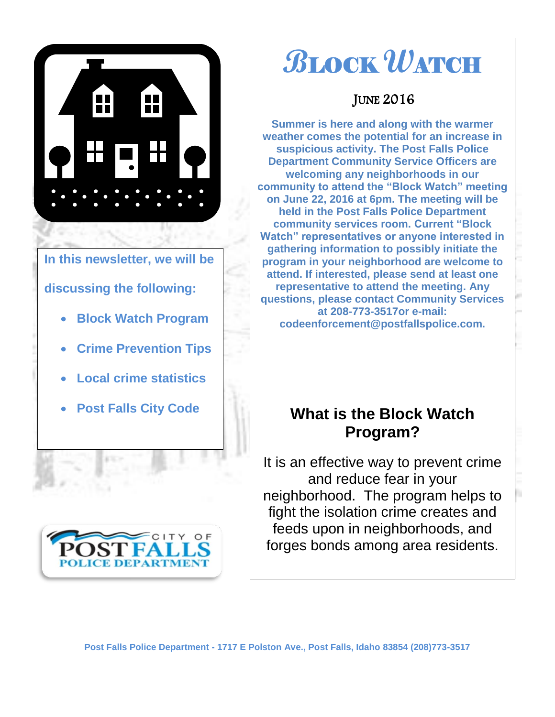

### **In this newsletter, we will be**

### **discussing the following:**

- **Block Watch Program**
- **Crime Prevention Tips**
- **Local crime statistics**
- **Post Falls City Code**



# **B**LOCK **W**ATCH

### **JUNE 2016**

**Summer is here and along with the warmer weather comes the potential for an increase in suspicious activity. The Post Falls Police Department Community Service Officers are welcoming any neighborhoods in our community to attend the "Block Watch" meeting on June 22, 2016 at 6pm. The meeting will be held in the Post Falls Police Department community services room. Current "Block Watch" representatives or anyone interested in gathering information to possibly initiate the program in your neighborhood are welcome to attend. If interested, please send at least one representative to attend the meeting. Any questions, please contact Community Services at 208-773-3517or e-mail: codeenforcement@postfallspolice.com.**

### **What is the Block Watch Program?**

It is an effective way to prevent crime and reduce fear in your neighborhood. The program helps to fight the isolation crime creates and feeds upon in neighborhoods, and forges bonds among area residents.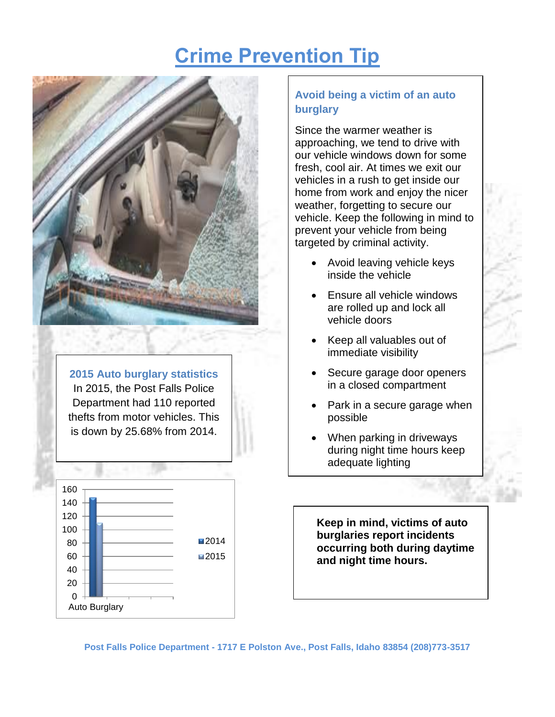# **Crime Prevention Tip**



**2015 Auto burglary statistics** In 2015, the Post Falls Police Department had 110 reported thefts from motor vehicles. This is down by 25.68% from 2014.



### **Avoid being a victim of an auto burglary**

Since the warmer weather is approaching, we tend to drive with our vehicle windows down for some fresh, cool air. At times we exit our vehicles in a rush to get inside our home from work and enjoy the nicer weather, forgetting to secure our vehicle. Keep the following in mind to prevent your vehicle from being targeted by criminal activity.

- Avoid leaving vehicle keys inside the vehicle
- Ensure all vehicle windows are rolled up and lock all vehicle doors
- Keep all valuables out of immediate visibility
- Secure garage door openers in a closed compartment
- Park in a secure garage when possible
- When parking in driveways during night time hours keep adequate lighting

**Keep in mind, victims of auto burglaries report incidents occurring both during daytime and night time hours.**